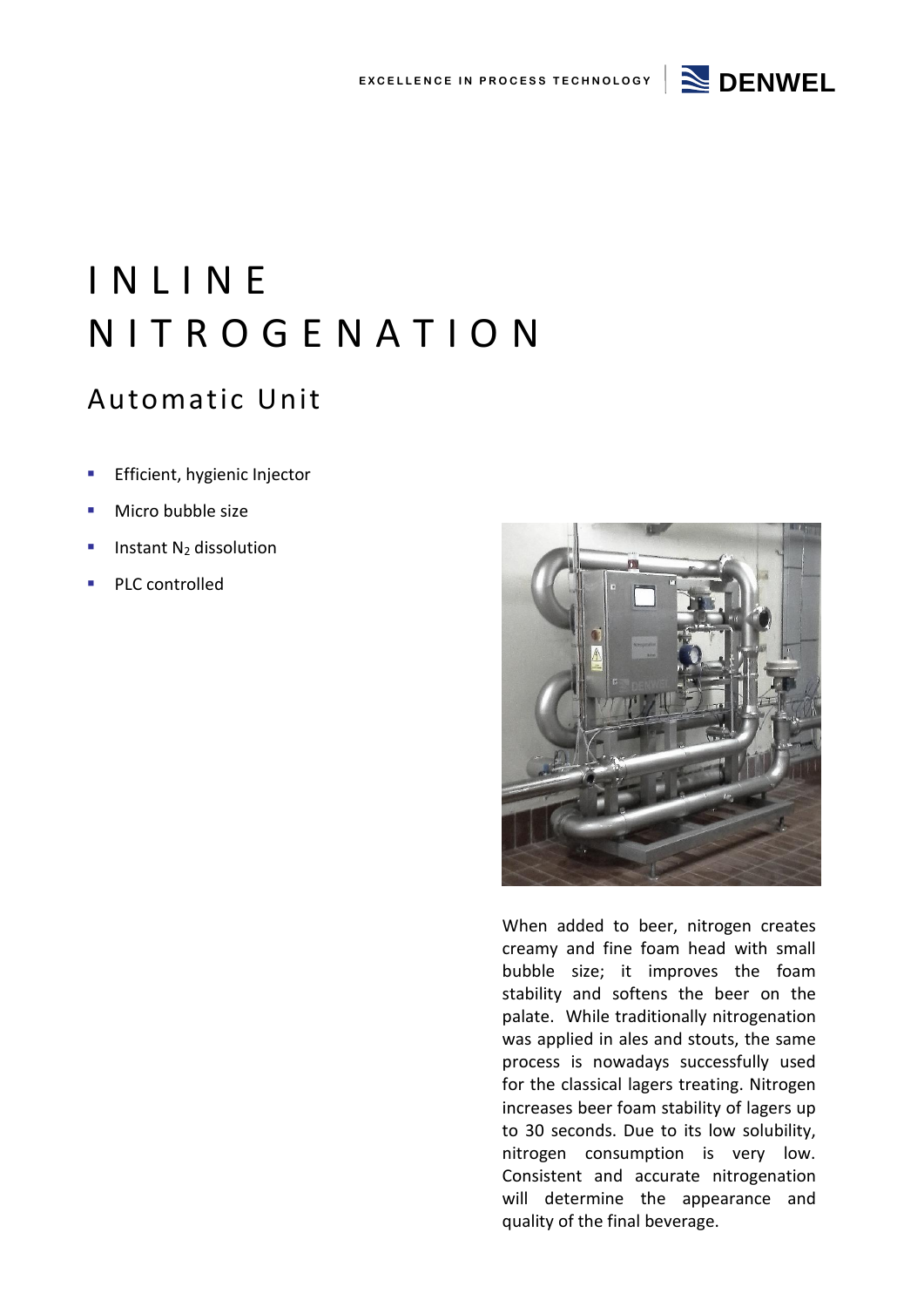

# I N L I N E N I T R O G E N A T I O N

### Automatic Unit

- **Efficient, hygienic Injector**
- Micro bubble size
- Instant N<sup>2</sup> dissolution
- PLC controlled



When added to beer, nitrogen creates creamy and fine foam head with small bubble size; it improves the foam stability and softens the beer on the palate. While traditionally nitrogenation was applied in ales and stouts, the same process is nowadays successfully used for the classical lagers treating. Nitrogen increases beer foam stability of lagers up to 30 seconds. Due to its low solubility, nitrogen consumption is very low. Consistent and accurate nitrogenation will determine the appearance and quality of the final beverage.